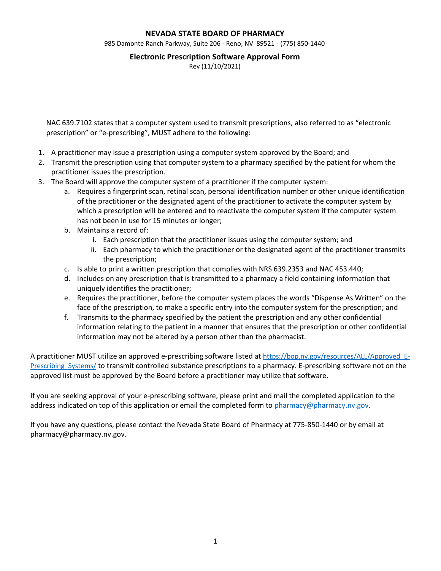## **NEVADA STATE BOARD OF PHARMACY**

985 Damonte Ranch Parkway, Suite 206 - Reno, NV 89521 - (775) 850-1440

### **Electronic Prescription Software Approval Form**

Rev (11/10/2021)

NAC 639.7102 states that a computer system used to transmit prescriptions, also referred to as "electronic prescription" or "e-prescribing", MUST adhere to the following:

- 1. A practitioner may issue a prescription using a computer system approved by the Board; and
- 2. Transmit the prescription using that computer system to a pharmacy specified by the patient for whom the practitioner issues the prescription.
- 3. The Board will approve the computer system of a practitioner if the computer system:
	- a. Requires a fingerprint scan, retinal scan, personal identification number or other unique identification of the practitioner or the designated agent of the practitioner to activate the computer system by which a prescription will be entered and to reactivate the computer system if the computer system has not been in use for 15 minutes or longer;
	- b. Maintains a record of:
		- i. Each prescription that the practitioner issues using the computer system; and
		- ii. Each pharmacy to which the practitioner or the designated agent of the practitioner transmits the prescription;
	- c. Is able to print a written prescription that complies with NRS 639.2353 and NAC 453.440;
	- d. Includes on any prescription that is transmitted to a pharmacy a field containing information that uniquely identifies the practitioner;
	- e. Requires the practitioner, before the computer system places the words "Dispense As Written" on the face of the prescription, to make a specific entry into the computer system for the prescription; and
	- f. Transmits to the pharmacy specified by the patient the prescription and any other confidential information relating to the patient in a manner that ensures that the prescription or other confidential information may not be altered by a person other than the pharmacist.

A practitioner MUST utilize an approved e-prescribing software listed at [https://bop.nv.gov/resources/ALL/Approved\\_E-](https://bop.nv.gov/resources/ALL/Approved_E-Prescribing_Systems/)Prescribing Systems/ to transmit controlled substance prescriptions to a pharmacy. E-prescribing software not on the approved list must be approved by the Board before a practitioner may utilize that software.

If you are seeking approval of your e-prescribing software, please print and mail the completed application to the address indicated on top of this application or email the completed form to [pharmacy@pharmacy.nv.gov.](mailto:pharmacy@pharmacy.nv.gov)

If you have any questions, please contact the Nevada State Board of Pharmacy at 775-850-1440 or by email at pharmacy@pharmacy.nv.gov.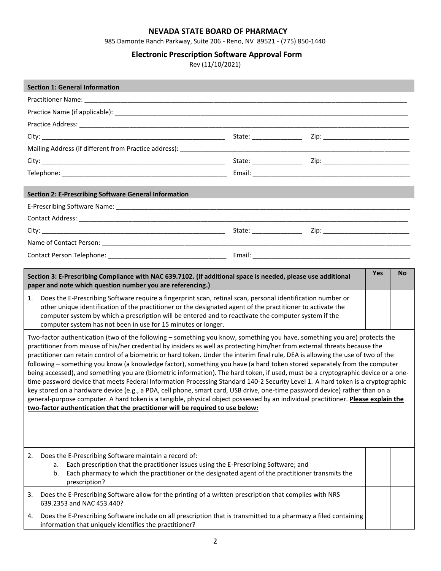# **NEVADA STATE BOARD OF PHARMACY**

985 Damonte Ranch Parkway, Suite 206 - Reno, NV 89521 - (775) 850-1440

# **Electronic Prescription Software Approval Form**

Rev (11/10/2021)

| <b>Section 1: General Information</b>                                                                                                                                                                                                                                                                                                                                                                                                                                                                                                                                                                                                                                                                                                                                                                                                                                                                                                                                                                                                                                                                                                                                                                                                                                                                                                                                                                                                                                                                                                                                |  |  |            |           |  |
|----------------------------------------------------------------------------------------------------------------------------------------------------------------------------------------------------------------------------------------------------------------------------------------------------------------------------------------------------------------------------------------------------------------------------------------------------------------------------------------------------------------------------------------------------------------------------------------------------------------------------------------------------------------------------------------------------------------------------------------------------------------------------------------------------------------------------------------------------------------------------------------------------------------------------------------------------------------------------------------------------------------------------------------------------------------------------------------------------------------------------------------------------------------------------------------------------------------------------------------------------------------------------------------------------------------------------------------------------------------------------------------------------------------------------------------------------------------------------------------------------------------------------------------------------------------------|--|--|------------|-----------|--|
|                                                                                                                                                                                                                                                                                                                                                                                                                                                                                                                                                                                                                                                                                                                                                                                                                                                                                                                                                                                                                                                                                                                                                                                                                                                                                                                                                                                                                                                                                                                                                                      |  |  |            |           |  |
|                                                                                                                                                                                                                                                                                                                                                                                                                                                                                                                                                                                                                                                                                                                                                                                                                                                                                                                                                                                                                                                                                                                                                                                                                                                                                                                                                                                                                                                                                                                                                                      |  |  |            |           |  |
|                                                                                                                                                                                                                                                                                                                                                                                                                                                                                                                                                                                                                                                                                                                                                                                                                                                                                                                                                                                                                                                                                                                                                                                                                                                                                                                                                                                                                                                                                                                                                                      |  |  |            |           |  |
|                                                                                                                                                                                                                                                                                                                                                                                                                                                                                                                                                                                                                                                                                                                                                                                                                                                                                                                                                                                                                                                                                                                                                                                                                                                                                                                                                                                                                                                                                                                                                                      |  |  |            |           |  |
|                                                                                                                                                                                                                                                                                                                                                                                                                                                                                                                                                                                                                                                                                                                                                                                                                                                                                                                                                                                                                                                                                                                                                                                                                                                                                                                                                                                                                                                                                                                                                                      |  |  |            |           |  |
|                                                                                                                                                                                                                                                                                                                                                                                                                                                                                                                                                                                                                                                                                                                                                                                                                                                                                                                                                                                                                                                                                                                                                                                                                                                                                                                                                                                                                                                                                                                                                                      |  |  |            |           |  |
|                                                                                                                                                                                                                                                                                                                                                                                                                                                                                                                                                                                                                                                                                                                                                                                                                                                                                                                                                                                                                                                                                                                                                                                                                                                                                                                                                                                                                                                                                                                                                                      |  |  |            |           |  |
| <b>Section 2: E-Prescribing Software General Information</b>                                                                                                                                                                                                                                                                                                                                                                                                                                                                                                                                                                                                                                                                                                                                                                                                                                                                                                                                                                                                                                                                                                                                                                                                                                                                                                                                                                                                                                                                                                         |  |  |            |           |  |
|                                                                                                                                                                                                                                                                                                                                                                                                                                                                                                                                                                                                                                                                                                                                                                                                                                                                                                                                                                                                                                                                                                                                                                                                                                                                                                                                                                                                                                                                                                                                                                      |  |  |            |           |  |
|                                                                                                                                                                                                                                                                                                                                                                                                                                                                                                                                                                                                                                                                                                                                                                                                                                                                                                                                                                                                                                                                                                                                                                                                                                                                                                                                                                                                                                                                                                                                                                      |  |  |            |           |  |
|                                                                                                                                                                                                                                                                                                                                                                                                                                                                                                                                                                                                                                                                                                                                                                                                                                                                                                                                                                                                                                                                                                                                                                                                                                                                                                                                                                                                                                                                                                                                                                      |  |  |            |           |  |
|                                                                                                                                                                                                                                                                                                                                                                                                                                                                                                                                                                                                                                                                                                                                                                                                                                                                                                                                                                                                                                                                                                                                                                                                                                                                                                                                                                                                                                                                                                                                                                      |  |  |            |           |  |
|                                                                                                                                                                                                                                                                                                                                                                                                                                                                                                                                                                                                                                                                                                                                                                                                                                                                                                                                                                                                                                                                                                                                                                                                                                                                                                                                                                                                                                                                                                                                                                      |  |  |            |           |  |
|                                                                                                                                                                                                                                                                                                                                                                                                                                                                                                                                                                                                                                                                                                                                                                                                                                                                                                                                                                                                                                                                                                                                                                                                                                                                                                                                                                                                                                                                                                                                                                      |  |  |            |           |  |
| Section 3: E-Prescribing Compliance with NAC 639.7102. (If additional space is needed, please use additional<br>paper and note which question number you are referencing.)                                                                                                                                                                                                                                                                                                                                                                                                                                                                                                                                                                                                                                                                                                                                                                                                                                                                                                                                                                                                                                                                                                                                                                                                                                                                                                                                                                                           |  |  | <b>Yes</b> | <b>No</b> |  |
| Does the E-Prescribing Software require a fingerprint scan, retinal scan, personal identification number or<br>1.<br>other unique identification of the practitioner or the designated agent of the practitioner to activate the<br>computer system by which a prescription will be entered and to reactivate the computer system if the<br>computer system has not been in use for 15 minutes or longer.<br>Two-factor authentication (two of the following – something you know, something you have, something you are) protects the<br>practitioner from misuse of his/her credential by insiders as well as protecting him/her from external threats because the<br>practitioner can retain control of a biometric or hard token. Under the interim final rule, DEA is allowing the use of two of the<br>following - something you know (a knowledge factor), something you have (a hard token stored separately from the computer<br>being accessed), and something you are (biometric information). The hard token, if used, must be a cryptographic device or a one-<br>time password device that meets Federal Information Processing Standard 140-2 Security Level 1. A hard token is a cryptographic<br>key stored on a hardware device (e.g., a PDA, cell phone, smart card, USB drive, one-time password device) rather than on a<br>general-purpose computer. A hard token is a tangible, physical object possessed by an individual practitioner. Please explain the<br>two-factor authentication that the practitioner will be required to use below: |  |  |            |           |  |
| Does the E-Prescribing Software maintain a record of:<br>2.<br>Each prescription that the practitioner issues using the E-Prescribing Software; and<br>a.<br>Each pharmacy to which the practitioner or the designated agent of the practitioner transmits the<br>b.<br>prescription?                                                                                                                                                                                                                                                                                                                                                                                                                                                                                                                                                                                                                                                                                                                                                                                                                                                                                                                                                                                                                                                                                                                                                                                                                                                                                |  |  |            |           |  |
| Does the E-Prescribing Software allow for the printing of a written prescription that complies with NRS<br>3.<br>639.2353 and NAC 453.440?                                                                                                                                                                                                                                                                                                                                                                                                                                                                                                                                                                                                                                                                                                                                                                                                                                                                                                                                                                                                                                                                                                                                                                                                                                                                                                                                                                                                                           |  |  |            |           |  |
| Does the E-Prescribing Software include on all prescription that is transmitted to a pharmacy a filed containing<br>4.<br>information that uniquely identifies the practitioner?                                                                                                                                                                                                                                                                                                                                                                                                                                                                                                                                                                                                                                                                                                                                                                                                                                                                                                                                                                                                                                                                                                                                                                                                                                                                                                                                                                                     |  |  |            |           |  |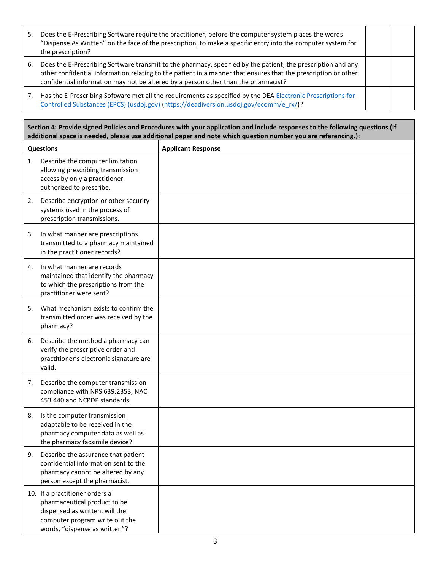| 5. | Does the E-Prescribing Software require the practitioner, before the computer system places the words<br>"Dispense As Written" on the face of the prescription, to make a specific entry into the computer system for<br>the prescription?                                                                           |  |
|----|----------------------------------------------------------------------------------------------------------------------------------------------------------------------------------------------------------------------------------------------------------------------------------------------------------------------|--|
| 6. | Does the E-Prescribing Software transmit to the pharmacy, specified by the patient, the prescription and any<br>other confidential information relating to the patient in a manner that ensures that the prescription or other<br>confidential information may not be altered by a person other than the pharmacist? |  |
| 7. | Has the E-Prescribing Software met all the requirements as specified by the DEA Electronic Prescriptions for<br>Controlled Substances (EPCS) (usdoj.gov) (https://deadiversion.usdoj.gov/ecomm/e_rx/)?                                                                                                               |  |

**Section 4: Provide signed Policies and Procedures with your application and include responses to the following questions (If additional space is needed, please use additional paper and note which question number you are referencing.):**

| <b>Questions</b> |                                                                                                                                                                     | <b>Applicant Response</b> |
|------------------|---------------------------------------------------------------------------------------------------------------------------------------------------------------------|---------------------------|
| 1.               | Describe the computer limitation<br>allowing prescribing transmission<br>access by only a practitioner<br>authorized to prescribe.                                  |                           |
| 2.               | Describe encryption or other security<br>systems used in the process of<br>prescription transmissions.                                                              |                           |
| 3.               | In what manner are prescriptions<br>transmitted to a pharmacy maintained<br>in the practitioner records?                                                            |                           |
| 4.               | In what manner are records<br>maintained that identify the pharmacy<br>to which the prescriptions from the<br>practitioner were sent?                               |                           |
| 5.               | What mechanism exists to confirm the<br>transmitted order was received by the<br>pharmacy?                                                                          |                           |
| 6.               | Describe the method a pharmacy can<br>verify the prescriptive order and<br>practitioner's electronic signature are<br>valid.                                        |                           |
| 7.               | Describe the computer transmission<br>compliance with NRS 639.2353, NAC<br>453.440 and NCPDP standards.                                                             |                           |
| 8.               | Is the computer transmission<br>adaptable to be received in the<br>pharmacy computer data as well as<br>the pharmacy facsimile device?                              |                           |
| 9.               | Describe the assurance that patient<br>confidential information sent to the<br>pharmacy cannot be altered by any<br>person except the pharmacist.                   |                           |
|                  | 10. If a practitioner orders a<br>pharmaceutical product to be<br>dispensed as written, will the<br>computer program write out the<br>words, "dispense as written"? |                           |